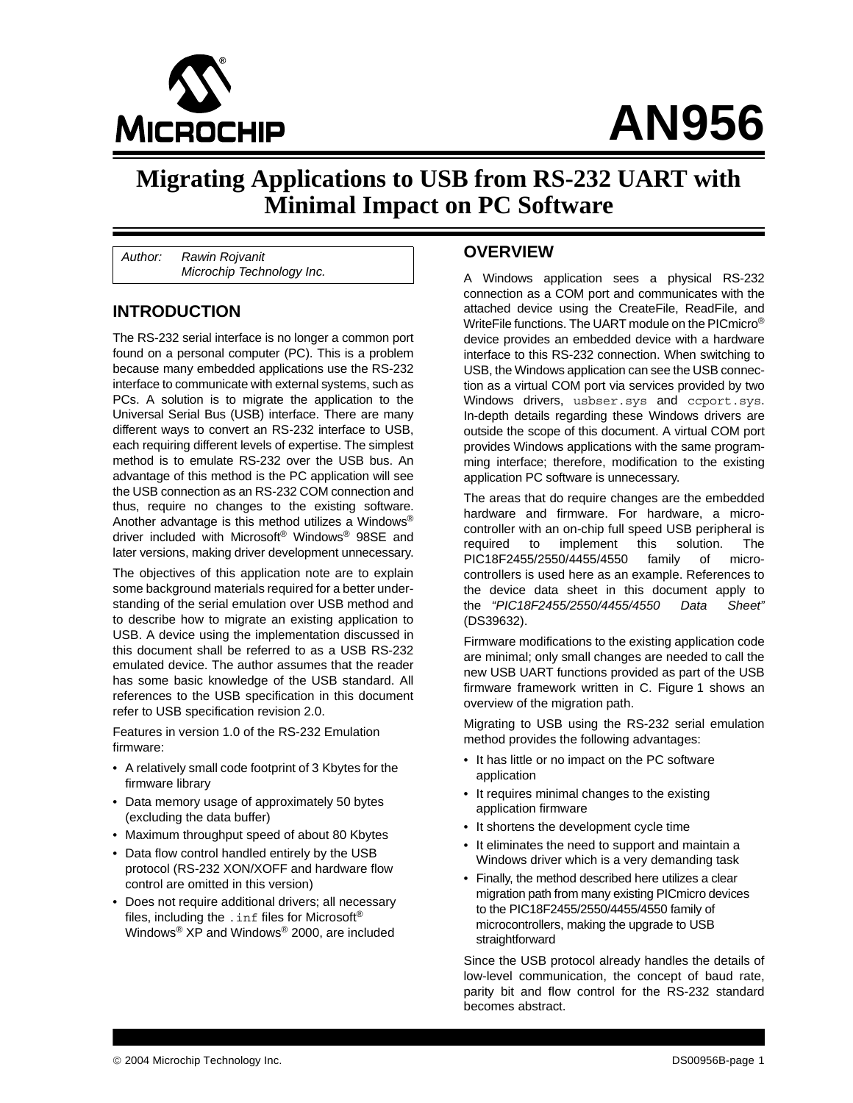

# **AN956**

## **Migrating Applications to USB from RS-232 UART with Minimal Impact on PC Software**

*Author: Rawin Rojvanit Microchip Technology Inc.*

#### **INTRODUCTION**

The RS-232 serial interface is no longer a common port found on a personal computer (PC). This is a problem because many embedded applications use the RS-232 interface to communicate with external systems, such as PCs. A solution is to migrate the application to the Universal Serial Bus (USB) interface. There are many different ways to convert an RS-232 interface to USB, each requiring different levels of expertise. The simplest method is to emulate RS-232 over the USB bus. An advantage of this method is the PC application will see the USB connection as an RS-232 COM connection and thus, require no changes to the existing software. Another advantage is this method utilizes a Windows® driver included with Microsoft<sup>®</sup> Windows<sup>®</sup> 98SE and later versions, making driver development unnecessary.

The objectives of this application note are to explain some background materials required for a better understanding of the serial emulation over USB method and to describe how to migrate an existing application to USB. A device using the implementation discussed in this document shall be referred to as a USB RS-232 emulated device. The author assumes that the reader has some basic knowledge of the USB standard. All references to the USB specification in this document refer to USB specification revision 2.0.

Features in version 1.0 of the RS-232 Emulation firmware:

- A relatively small code footprint of 3 Kbytes for the firmware library
- Data memory usage of approximately 50 bytes (excluding the data buffer)
- Maximum throughput speed of about 80 Kbytes
- Data flow control handled entirely by the USB protocol (RS-232 XON/XOFF and hardware flow control are omitted in this version)
- Does not require additional drivers; all necessary files, including the . inf files for Microsoft<sup>®</sup> Windows® XP and Windows® 2000, are included

#### **OVERVIEW**

A Windows application sees a physical RS-232 connection as a COM port and communicates with the attached device using the CreateFile, ReadFile, and WriteFile functions. The UART module on the PICmicro® device provides an embedded device with a hardware interface to this RS-232 connection. When switching to USB, the Windows application can see the USB connection as a virtual COM port via services provided by two Windows drivers, usbser.sys and ccport.sys. In-depth details regarding these Windows drivers are outside the scope of this document. A virtual COM port provides Windows applications with the same programming interface; therefore, modification to the existing application PC software is unnecessary.

The areas that do require changes are the embedded hardware and firmware. For hardware, a microcontroller with an on-chip full speed USB peripheral is required to implement this solution. The PIC18F2455/2550/4455/4550 family of microcontrollers is used here as an example. References to the device data sheet in this document apply to the *"PIC18F2455/2550/4455/4550 Data Sheet"* (DS39632).

Firmware modifications to the existing application code are minimal; only small changes are needed to call the new USB UART functions provided as part of the USB firmware framework written in C. [Figure 1](#page-1-0) shows an overview of the migration path.

Migrating to USB using the RS-232 serial emulation method provides the following advantages:

- It has little or no impact on the PC software application
- It requires minimal changes to the existing application firmware
- It shortens the development cycle time
- It eliminates the need to support and maintain a Windows driver which is a very demanding task
- Finally, the method described here utilizes a clear migration path from many existing PICmicro devices to the PIC18F2455/2550/4455/4550 family of microcontrollers, making the upgrade to USB straightforward

Since the USB protocol already handles the details of low-level communication, the concept of baud rate, parity bit and flow control for the RS-232 standard becomes abstract.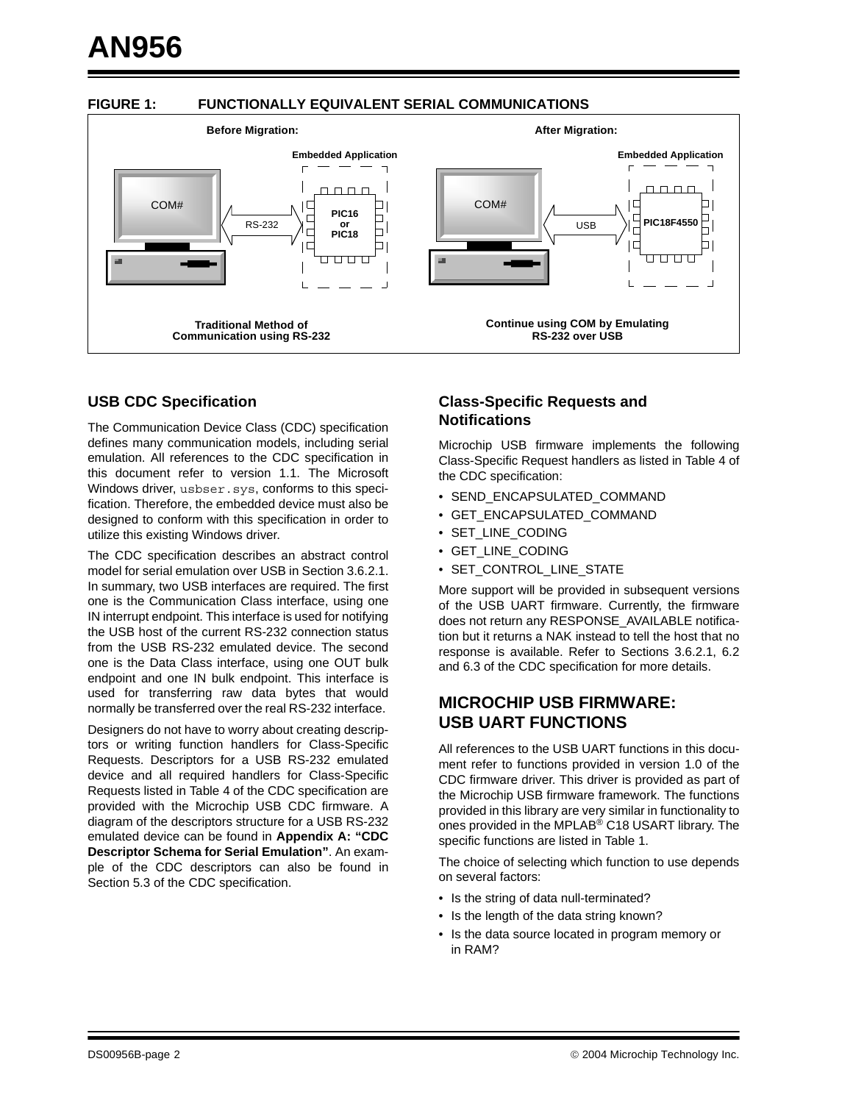#### <span id="page-1-0"></span>**FIGURE 1: FUNCTIONALLY EQUIVALENT SERIAL COMMUNICATIONS**



#### **USB CDC Specification**

The Communication Device Class (CDC) specification defines many communication models, including serial emulation. All references to the CDC specification in this document refer to version 1.1. The Microsoft Windows driver, usbser.sys, conforms to this specification. Therefore, the embedded device must also be designed to conform with this specification in order to utilize this existing Windows driver.

The CDC specification describes an abstract control model for serial emulation over USB in Section 3.6.2.1. In summary, two USB interfaces are required. The first one is the Communication Class interface, using one IN interrupt endpoint. This interface is used for notifying the USB host of the current RS-232 connection status from the USB RS-232 emulated device. The second one is the Data Class interface, using one OUT bulk endpoint and one IN bulk endpoint. This interface is used for transferring raw data bytes that would normally be transferred over the real RS-232 interface.

Designers do not have to worry about creating descriptors or writing function handlers for Class-Specific Requests. Descriptors for a USB RS-232 emulated device and all required handlers for Class-Specific Requests listed in Table 4 of the CDC specification are provided with the Microchip USB CDC firmware. A diagram of the descriptors structure for a USB RS-232 emulated device can be found in **[Appendix A: "CDC](#page-11-0) [Descriptor Schema for Serial Emulation"](#page-11-0)**. An example of the CDC descriptors can also be found in Section 5.3 of the CDC specification.

#### **Class-Specific Requests and Notifications**

Microchip USB firmware implements the following Class-Specific Request handlers as listed in Table 4 of the CDC specification:

- SEND\_ENCAPSULATED\_COMMAND
- GET\_ENCAPSULATED\_COMMAND
- SET\_LINE\_CODING
- GET\_LINE\_CODING
- SET\_CONTROL\_LINE\_STATE

More support will be provided in subsequent versions of the USB UART firmware. Currently, the firmware does not return any RESPONSE\_AVAILABLE notification but it returns a NAK instead to tell the host that no response is available. Refer to Sections 3.6.2.1, 6.2 and 6.3 of the CDC specification for more details.

#### **MICROCHIP USB FIRMWARE: USB UART FUNCTIONS**

All references to the USB UART functions in this document refer to functions provided in version 1.0 of the CDC firmware driver. This driver is provided as part of the Microchip USB firmware framework. The functions provided in this library are very similar in functionality to ones provided in the MPLAB® C18 USART library. The specific functions are listed in [Table 1](#page-2-0).

The choice of selecting which function to use depends on several factors:

- Is the string of data null-terminated?
- Is the length of the data string known?
- Is the data source located in program memory or in RAM?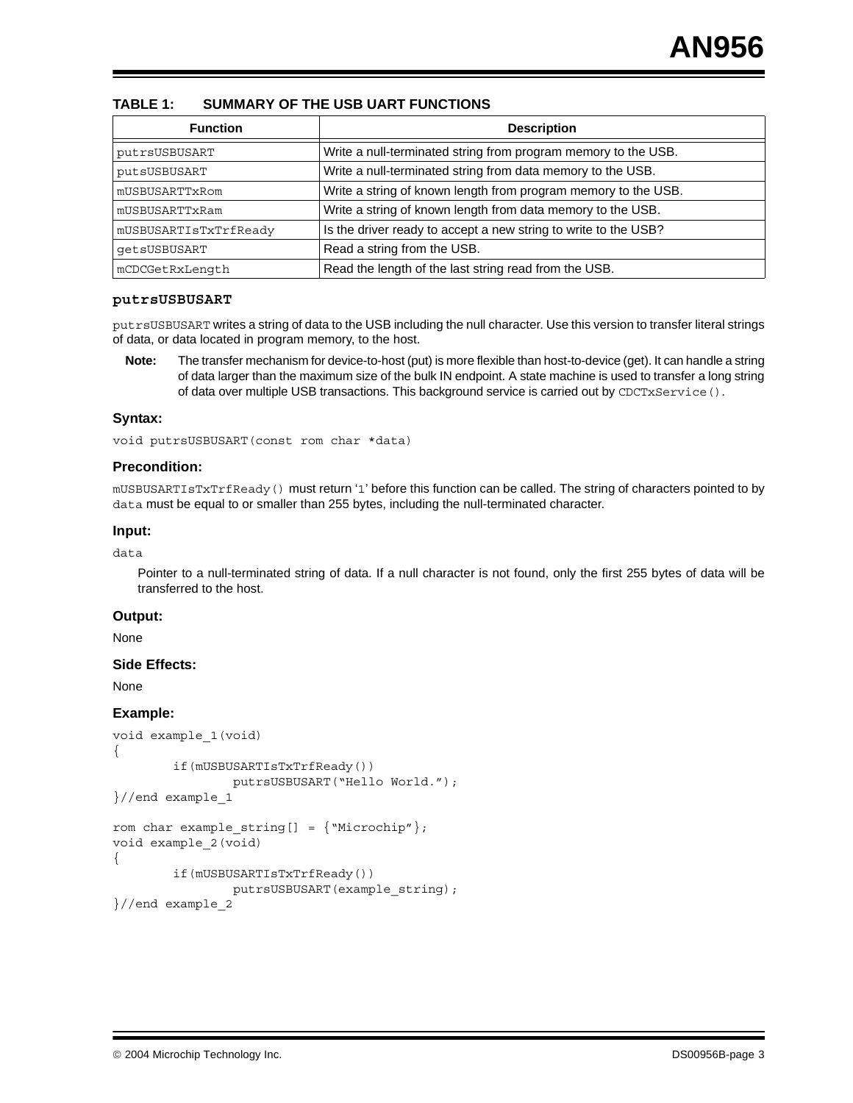#### <span id="page-2-0"></span>**TABLE 1: SUMMARY OF THE USB UART FUNCTIONS**

| <b>Function</b>       | <b>Description</b>                                              |
|-----------------------|-----------------------------------------------------------------|
| putrsUSBUSART         | Write a null-terminated string from program memory to the USB.  |
| putsUSBUSART          | Write a null-terminated string from data memory to the USB.     |
| mUSBUSARTTxRom        | Write a string of known length from program memory to the USB.  |
| mUSBUSARTTxRam        | Write a string of known length from data memory to the USB.     |
| mUSBUSARTIsTxTrfReady | Is the driver ready to accept a new string to write to the USB? |
| qetsUSBUSART          | Read a string from the USB.                                     |
| mCDCGetRxLength       | Read the length of the last string read from the USB.           |

#### **putrsUSBUSART**

putrsUSBUSART writes a string of data to the USB including the null character. Use this version to transfer literal strings of data, or data located in program memory, to the host.

**Note:** The transfer mechanism for device-to-host (put) is more flexible than host-to-device (get). It can handle a string of data larger than the maximum size of the bulk IN endpoint. A state machine is used to transfer a long string of data over multiple USB transactions. This background service is carried out by CDCTxService ().

#### **Syntax:**

void putrsUSBUSART(const rom char \*data)

#### **Precondition:**

mUSBUSARTIsTxTrfReady() must return '1' before this function can be called. The string of characters pointed to by data must be equal to or smaller than 255 bytes, including the null-terminated character.

#### **Input:**

data

Pointer to a null-terminated string of data. If a null character is not found, only the first 255 bytes of data will be transferred to the host.

#### **Output:**

None

#### **Side Effects:**

None

```
void example_1(void)
```

```
{
        if(mUSBUSARTIsTxTrfReady())
                putrsUSBUSART("Hello World.");
```

```
}//end example_1
```

```
rom char example_string[] = {"Microchip"};
void example_2(void)
{
        if(mUSBUSARTIsTxTrfReady())
                putrsUSBUSART(example_string);
}//end example_2
```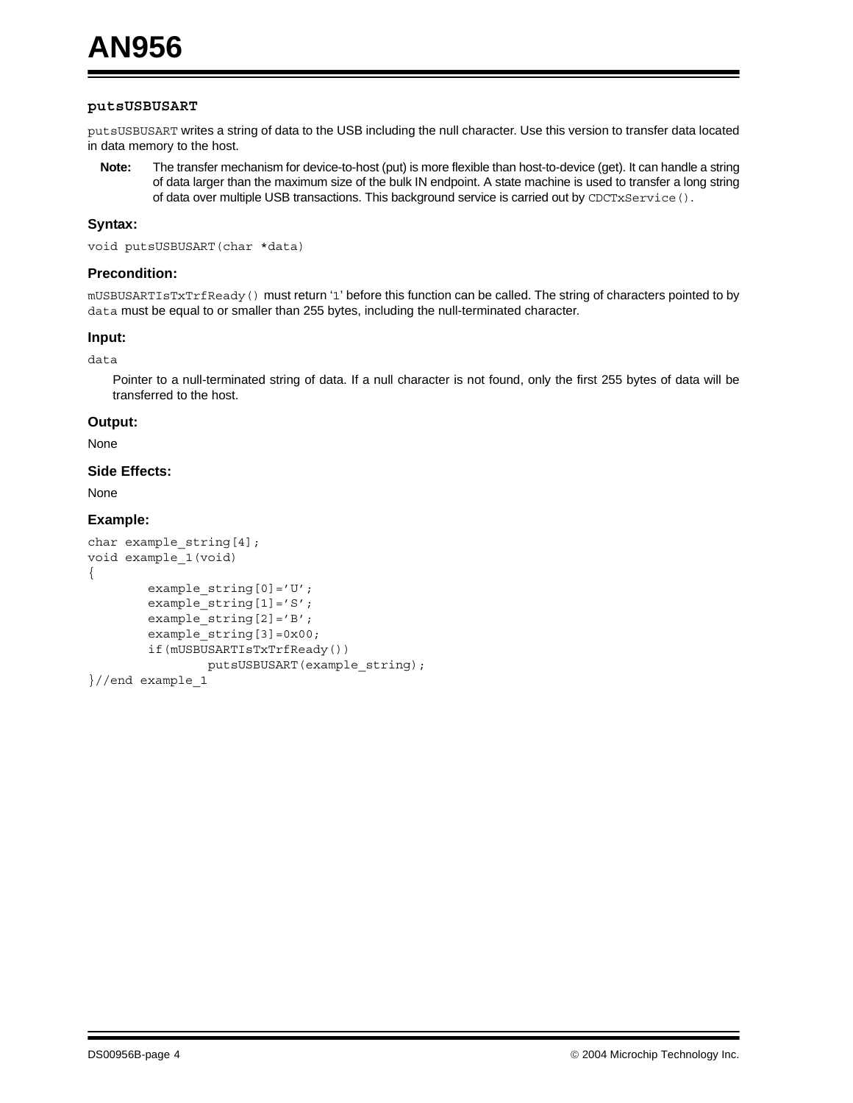#### **putsUSBUSART**

putsUSBUSART writes a string of data to the USB including the null character. Use this version to transfer data located in data memory to the host.

**Note:** The transfer mechanism for device-to-host (put) is more flexible than host-to-device (get). It can handle a string of data larger than the maximum size of the bulk IN endpoint. A state machine is used to transfer a long string of data over multiple USB transactions. This background service is carried out by CDCTxService ().

#### **Syntax:**

void putsUSBUSART(char \*data)

#### **Precondition:**

mUSBUSARTIsTxTrfReady() must return '1' before this function can be called. The string of characters pointed to by data must be equal to or smaller than 255 bytes, including the null-terminated character.

#### **Input:**

data

Pointer to a null-terminated string of data. If a null character is not found, only the first 255 bytes of data will be transferred to the host.

#### **Output:**

None

#### **Side Effects:**

None

```
char example_string[4];
void example_1(void)
{
        example string[0]='U';
        example string[1]='S';
        example string[2]='B';
        example_string[3]=0x00;
        if(mUSBUSARTIsTxTrfReady())
                putsUSBUSART(example_string);
}//end example_1
```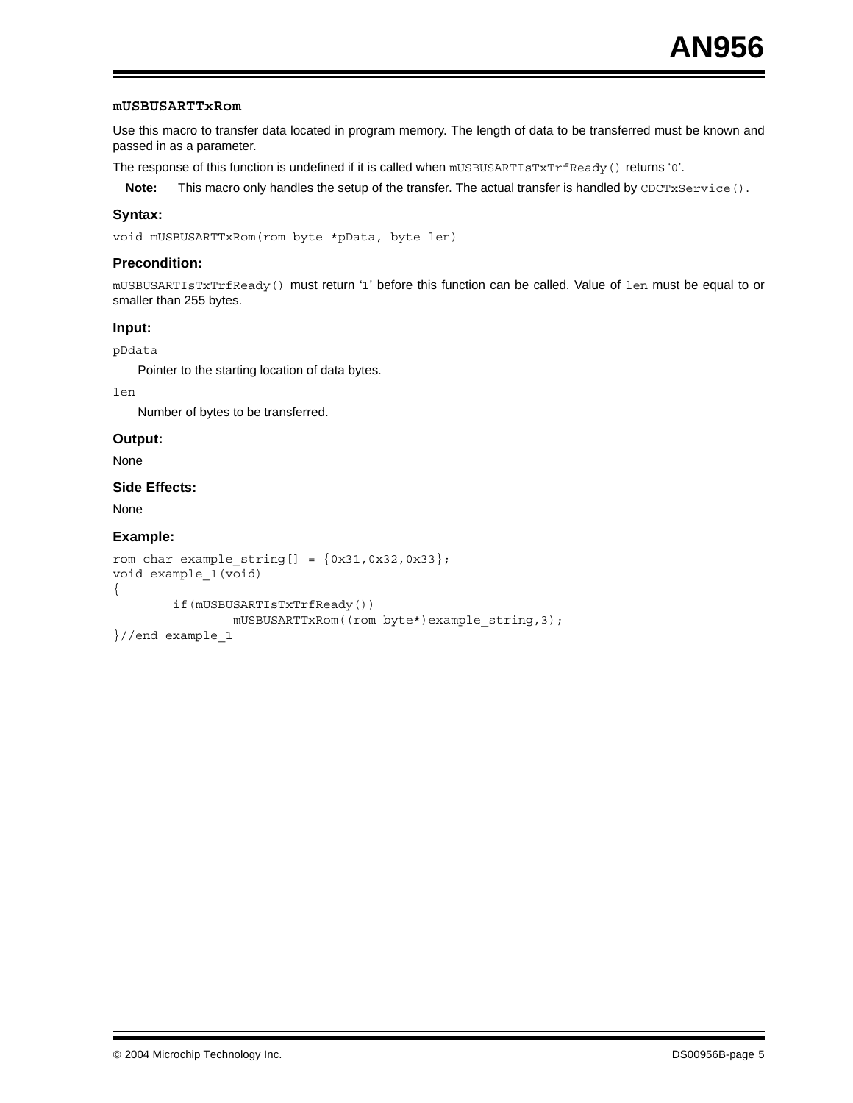#### **mUSBUSARTTxRom**

Use this macro to transfer data located in program memory. The length of data to be transferred must be known and passed in as a parameter.

The response of this function is undefined if it is called when mUSBUSARTIsTxTrfReady() returns '0'.

**Note:** This macro only handles the setup of the transfer. The actual transfer is handled by CDCTxService().

#### **Syntax:**

void mUSBUSARTTxRom(rom byte \*pData, byte len)

#### **Precondition:**

mUSBUSARTIsTxTrfReady() must return '1' before this function can be called. Value of len must be equal to or smaller than 255 bytes.

#### **Input:**

pDdata

Pointer to the starting location of data bytes.

len

Number of bytes to be transferred.

#### **Output:**

None

#### **Side Effects:**

None

```
rom char example_string[] = \{0x31, 0x32, 0x33\};
void example_1(void)
{
        if(mUSBUSARTIsTxTrfReady())
                mUSBUSARTTxRom((rom byte*)example_string,3);
}//end example_1
```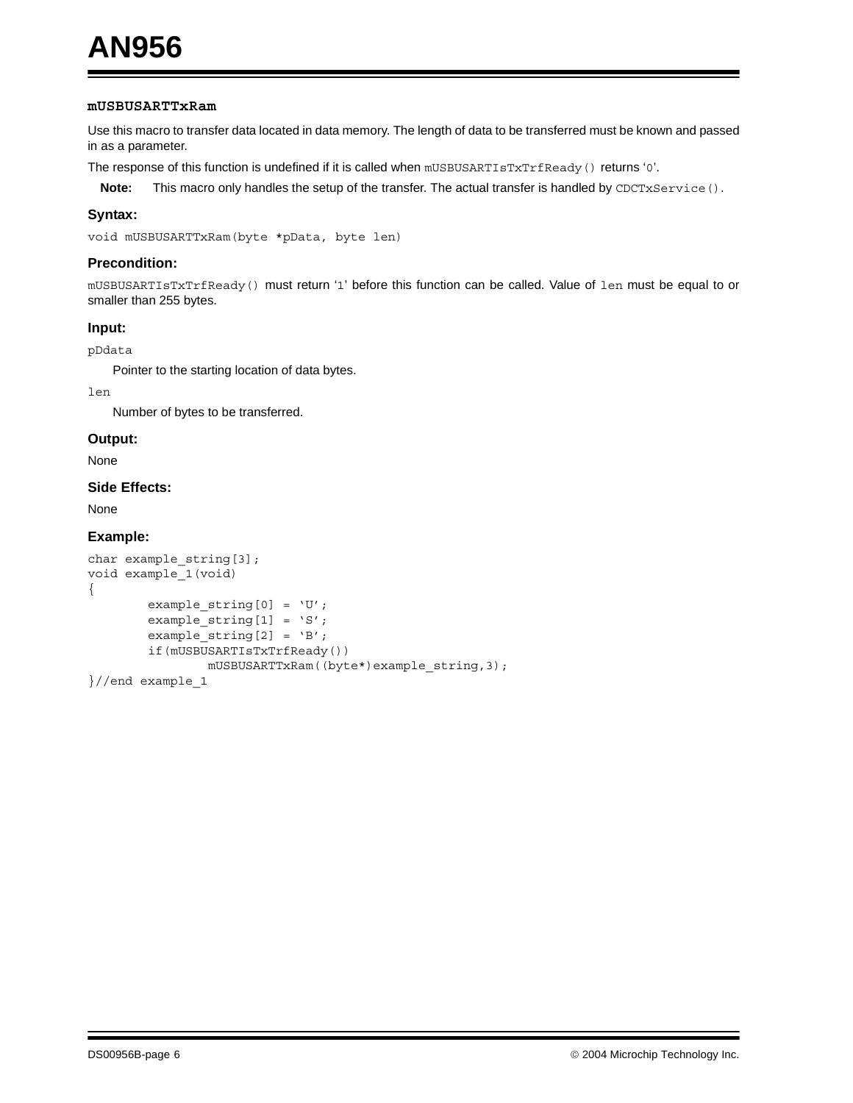#### **mUSBUSARTTxRam**

Use this macro to transfer data located in data memory. The length of data to be transferred must be known and passed in as a parameter.

The response of this function is undefined if it is called when mUSBUSARTIsTxTrfReady() returns '0'.

**Note:** This macro only handles the setup of the transfer. The actual transfer is handled by CDCTxService().

#### **Syntax:**

void mUSBUSARTTxRam(byte \*pData, byte len)

#### **Precondition:**

mUSBUSARTIsTxTrfReady() must return '1' before this function can be called. Value of len must be equal to or smaller than 255 bytes.

#### **Input:**

pDdata

Pointer to the starting location of data bytes.

len

Number of bytes to be transferred.

#### **Output:**

None

#### **Side Effects:**

None

```
char example_string[3];
void example_1(void)
{
        example_string[0] = 'U';
        example_string[1] = 'S';
        example string[2] = 'B';
        if(mUSBUSARTIsTxTrfReady())
                mUSBUSARTTxRam((byte*)example_string,3);
}//end example_1
```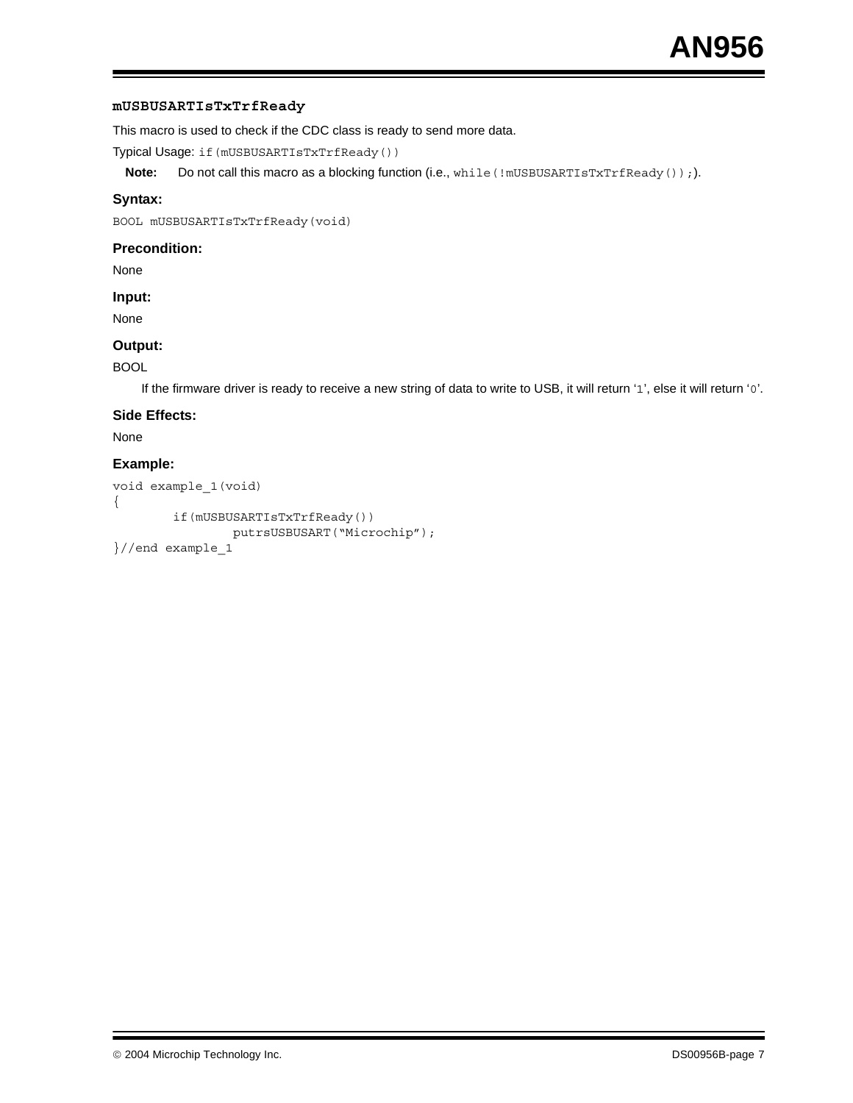#### **mUSBUSARTIsTxTrfReady**

This macro is used to check if the CDC class is ready to send more data.

Typical Usage: if(mUSBUSARTIsTxTrfReady())

**Note:** Do not call this macro as a blocking function (i.e., while (!mUSBUSARTIsTxTrfReady());).

#### **Syntax:**

BOOL mUSBUSARTIsTxTrfReady(void)

#### **Precondition:**

None

#### **Input:**

None

#### **Output:**

#### BOOL

If the firmware driver is ready to receive a new string of data to write to USB, it will return '1', else it will return '0'.

#### **Side Effects:**

None

```
void example_1(void)
{
        if(mUSBUSARTIsTxTrfReady())
                putrsUSBUSART("Microchip");
}//end example_1
```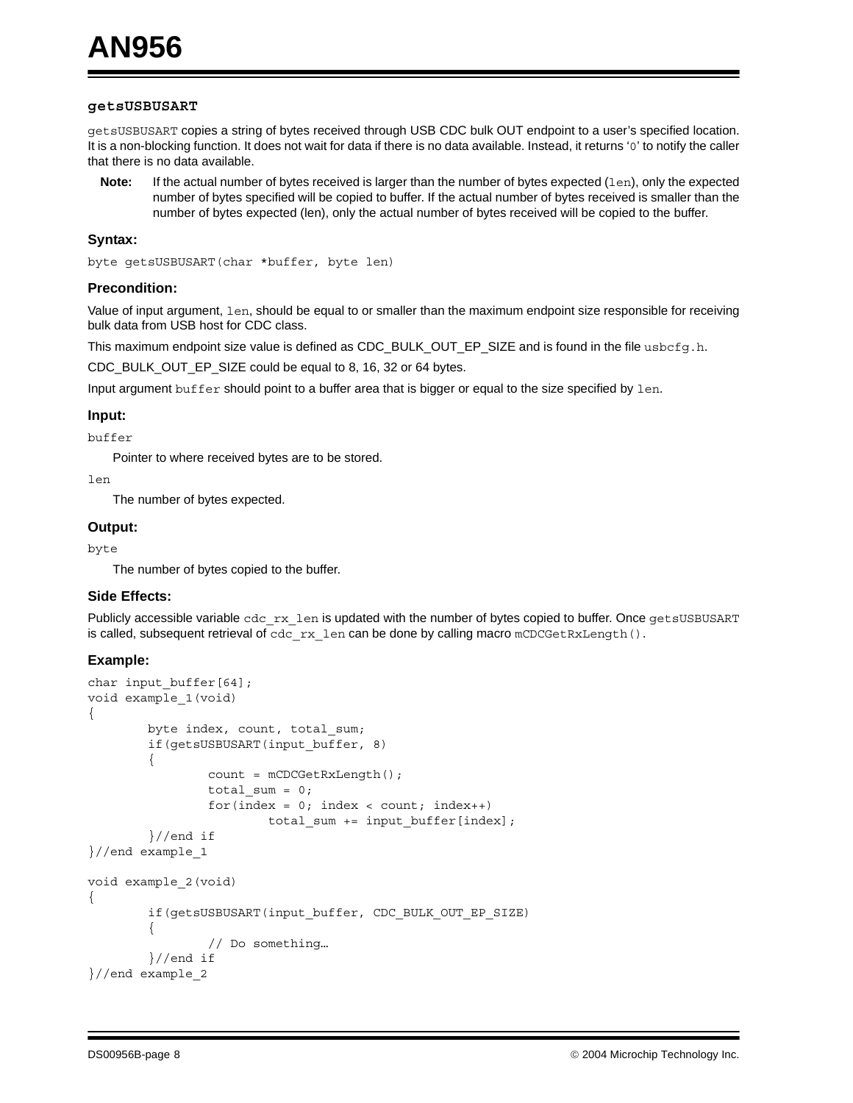#### **getsUSBUSART**

getsUSBUSART copies a string of bytes received through USB CDC bulk OUT endpoint to a user's specified location. It is a non-blocking function. It does not wait for data if there is no data available. Instead, it returns '0' to notify the caller that there is no data available.

**Note:** If the actual number of bytes received is larger than the number of bytes expected (1en), only the expected number of bytes specified will be copied to buffer. If the actual number of bytes received is smaller than the number of bytes expected (len), only the actual number of bytes received will be copied to the buffer.

#### **Syntax:**

byte getsUSBUSART(char \*buffer, byte len)

#### **Precondition:**

Value of input argument, len, should be equal to or smaller than the maximum endpoint size responsible for receiving bulk data from USB host for CDC class.

This maximum endpoint size value is defined as CDC\_BULK\_OUT\_EP\_SIZE and is found in the file usbcfg.h.

CDC\_BULK\_OUT\_EP\_SIZE could be equal to 8, 16, 32 or 64 bytes.

Input argument buffer should point to a buffer area that is bigger or equal to the size specified by len.

#### **Input:**

buffer

Pointer to where received bytes are to be stored.

len

The number of bytes expected.

#### **Output:**

byte

The number of bytes copied to the buffer.

#### **Side Effects:**

Publicly accessible variable cdc\_rx\_len is updated with the number of bytes copied to buffer. Once getsUSBUSART is called, subsequent retrieval of  $cdc_Tx$  len can be done by calling macro mCDCGetRxLength().

```
char input buffer[64];
void example_1(void)
{
        byte index, count, total_sum;
        if(getsUSBUSART(input_buffer, 8)
        {
                 count = mCDCGetRxLength();
                 total sum = 0;for(index = 0; index < count; index++)
                         total sum += input buffer[index];
        }//end if
}//end example_1
void example_2(void)
{
        if(getsUSBUSART(input_buffer, CDC_BULK_OUT_EP_SIZE)
        \left\{ \right.// Do something…
        }//end if
}//end example_2
```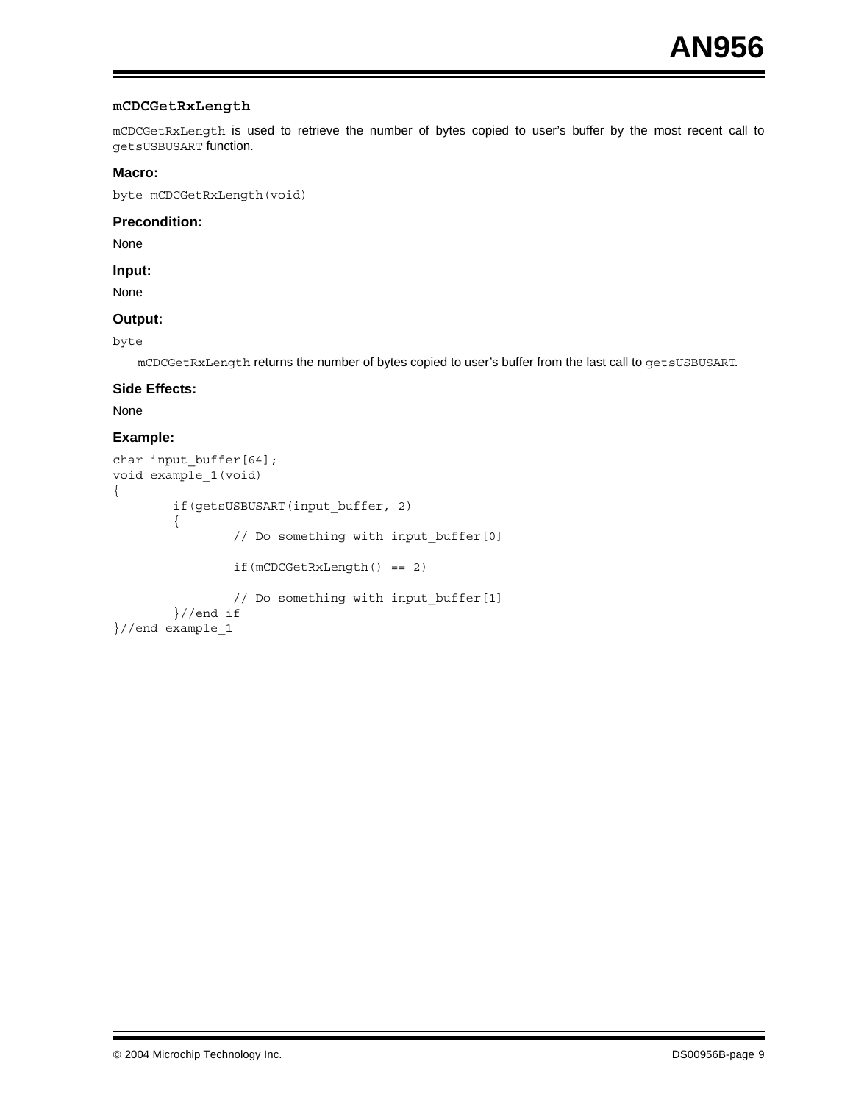#### **mCDCGetRxLength**

mCDCGetRxLength is used to retrieve the number of bytes copied to user's buffer by the most recent call to getsUSBUSART function.

#### **Macro:**

byte mCDCGetRxLength(void)

#### **Precondition:**

None

**Input:**

None

#### **Output:**

byte

mCDCGetRxLength returns the number of bytes copied to user's buffer from the last call to getsUSBUSART.

#### **Side Effects:**

None

```
char input buffer[64];
void example_1(void)
{
        if(getsUSBUSART(input_buffer, 2)
        {
                // Do something with input buffer[0]
                if(mCDCGetRxLength() == 2)
                // Do something with input_buffer[1]
        }//end if
}//end example_1
```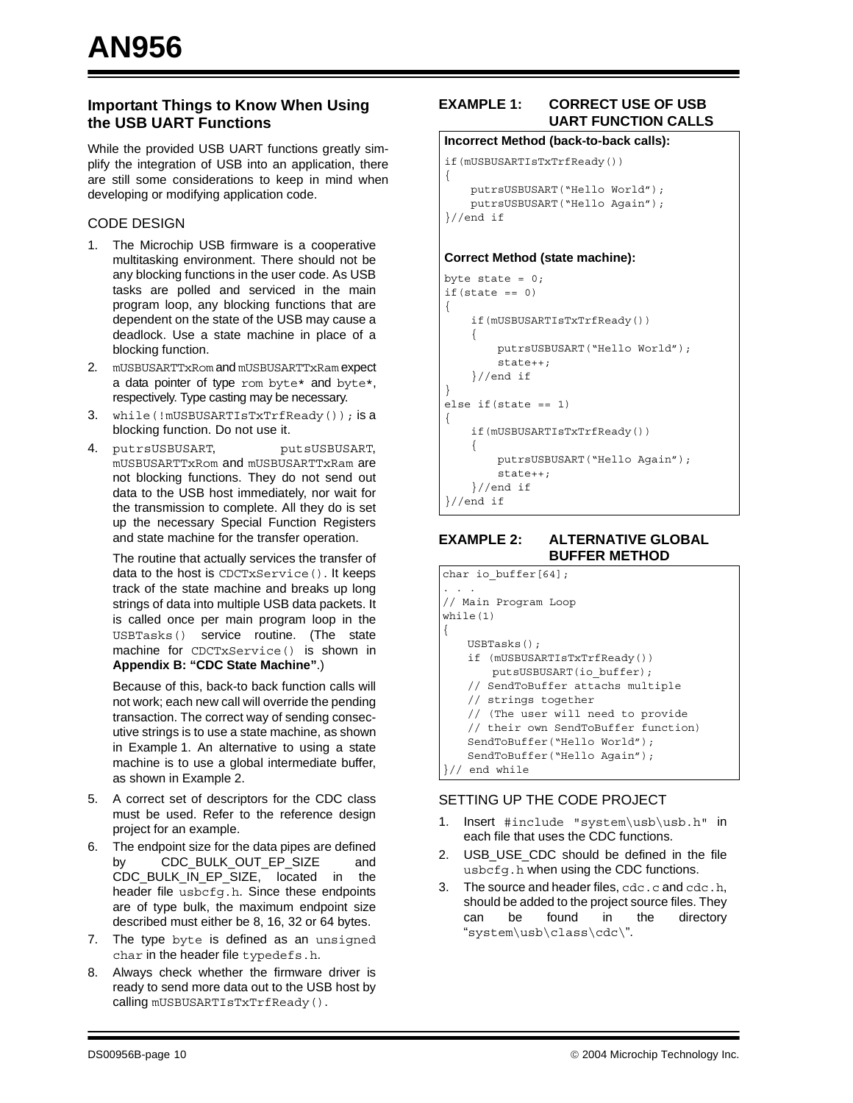#### **Important Things to Know When Using the USB UART Functions**

While the provided USB UART functions greatly simplify the integration of USB into an application, there are still some considerations to keep in mind when developing or modifying application code.

#### CODE DESIGN

- 1. The Microchip USB firmware is a cooperative multitasking environment. There should not be any blocking functions in the user code. As USB tasks are polled and serviced in the main program loop, any blocking functions that are dependent on the state of the USB may cause a deadlock. Use a state machine in place of a blocking function.
- 2. mUSBUSARTTxRom and mUSBUSARTTxRam expect a data pointer of type rom byte\* and byte\*, respectively. Type casting may be necessary.
- 3. while(!mUSBUSARTIsTxTrfReady()); is a blocking function. Do not use it.
- 4. putrsUSBUSART, putsUSBUSART, mUSBUSARTTxRom and mUSBUSARTTxRam are not blocking functions. They do not send out data to the USB host immediately, nor wait for the transmission to complete. All they do is set up the necessary Special Function Registers and state machine for the transfer operation.

The routine that actually services the transfer of data to the host is CDCTxService(). It keeps track of the state machine and breaks up long strings of data into multiple USB data packets. It is called once per main program loop in the USBTasks() service routine. (The state machine for CDCTxService() is shown in **[Appendix B: "CDC State Machine"](#page-12-0)**.)

Because of this, back-to back function calls will not work; each new call will override the pending transaction. The correct way of sending consecutive strings is to use a state machine, as shown in [Example 1.](#page-9-0) An alternative to using a state machine is to use a global intermediate buffer, as shown in [Example 2](#page-9-1).

- 5. A correct set of descriptors for the CDC class must be used. Refer to the reference design project for an example.
- 6. The endpoint size for the data pipes are defined by CDC\_BULK\_OUT\_EP\_SIZE and CDC\_BULK\_IN\_EP\_SIZE, located in the header file usbcfg.h. Since these endpoints are of type bulk, the maximum endpoint size described must either be 8, 16, 32 or 64 bytes.
- 7. The type byte is defined as an unsigned char in the header file typedefs.h.
- 8. Always check whether the firmware driver is ready to send more data out to the USB host by calling mUSBUSARTIsTxTrfReady().

#### <span id="page-9-0"></span>**EXAMPLE 1: CORRECT USE OF USB UART FUNCTION CALLS**

#### **Incorrect Method (back-to-back calls):**

```
if(mUSBUSARTIsTxTrfReady())
{
     putrsUSBUSART("Hello World");
    putrsUSBUSART("Hello Again");
}//end if
```
#### **Correct Method (state machine):**

```
byte state = 0;if(state == 0){
     if(mUSBUSARTIsTxTrfReady())
     {
         putrsUSBUSART("Hello World");
         state++;
     }//end if
}
else if(state == 1)
{
     if(mUSBUSARTIsTxTrfReady())
     {
         putrsUSBUSART("Hello Again");
         state++;
     }//end if
}//end if
```
#### <span id="page-9-1"></span>**EXAMPLE 2: ALTERNATIVE GLOBAL BUFFER METHOD**

| char io buffer $[64]$ ;             |  |
|-------------------------------------|--|
|                                     |  |
| // Main Program Loop                |  |
| while $(1)$                         |  |
|                                     |  |
| USBTasks();                         |  |
| if (mUSBUSARTIsTxTrfReady())        |  |
| putsUSBUSART(io buffer);            |  |
| // SendToBuffer attachs multiple    |  |
| // strings together                 |  |
| // (The user will need to provide   |  |
| // their own SendToBuffer function) |  |
| SendToBuffer("Hello World");        |  |
| SendToBuffer("Hello Aqain");        |  |
| end while                           |  |

#### SETTING UP THE CODE PROJECT

- 1. Insert #include "system\usb\usb.h" in each file that uses the CDC functions.
- 2. USB\_USE\_CDC should be defined in the file usbcfg.h when using the CDC functions.
- 3. The source and header files, cdc.c and cdc.h, should be added to the project source files. They can be found in the directory "system\usb\class\cdc\".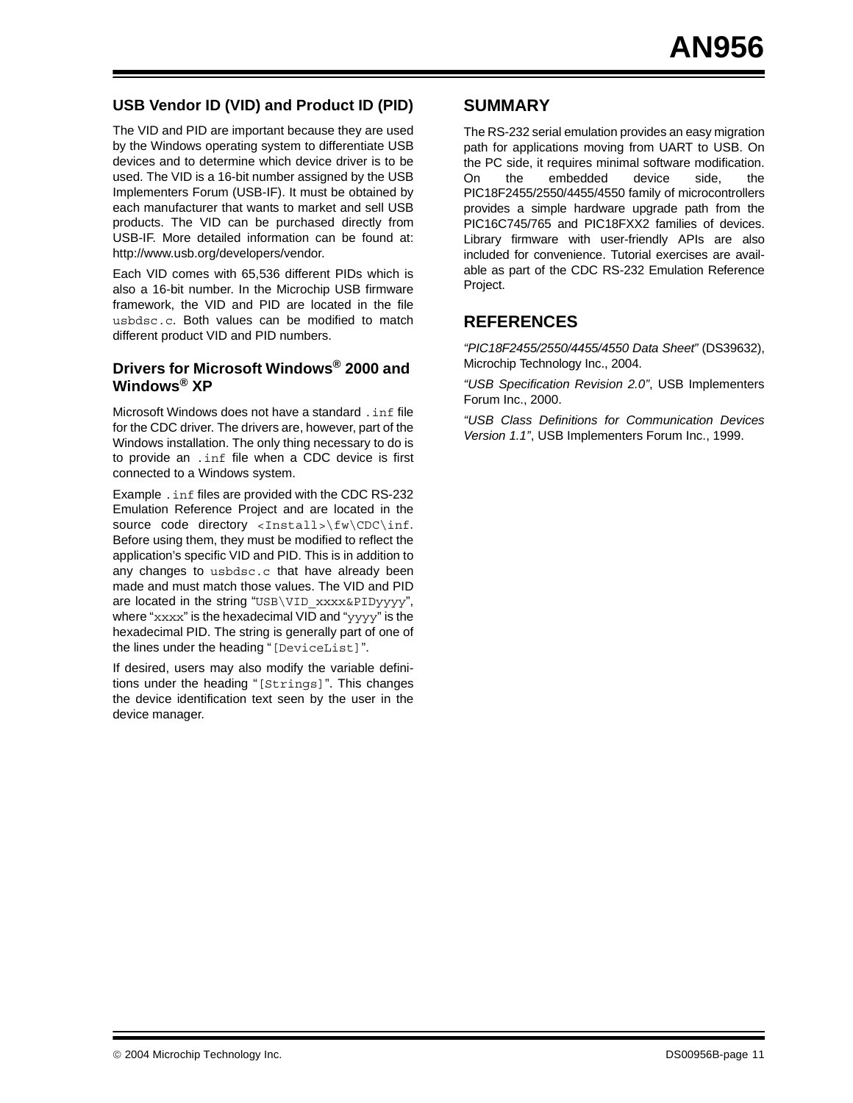#### **USB Vendor ID (VID) and Product ID (PID)**

The VID and PID are important because they are used by the Windows operating system to differentiate USB devices and to determine which device driver is to be used. The VID is a 16-bit number assigned by the USB Implementers Forum (USB-IF). It must be obtained by each manufacturer that wants to market and sell USB products. The VID can be purchased directly from USB-IF. More detailed information can be found at: http://www.usb.org/developers/vendor.

Each VID comes with 65,536 different PIDs which is also a 16-bit number. In the Microchip USB firmware framework, the VID and PID are located in the file usbdsc.c. Both values can be modified to match different product VID and PID numbers.

#### **Drivers for Microsoft Windows® 2000 and Windows® XP**

Microsoft Windows does not have a standard .inf file for the CDC driver. The drivers are, however, part of the Windows installation. The only thing necessary to do is to provide an .inf file when a CDC device is first connected to a Windows system.

Example .inf files are provided with the CDC RS-232 Emulation Reference Project and are located in the source code directory <Install>\fw\CDC\inf. Before using them, they must be modified to reflect the application's specific VID and PID. This is in addition to any changes to usbdsc.c that have already been made and must match those values. The VID and PID are located in the string "USB\VID\_xxxx&PIDyyyy", where "xxxx" is the hexadecimal VID and "yyyy" is the hexadecimal PID. The string is generally part of one of the lines under the heading "[DeviceList]".

If desired, users may also modify the variable definitions under the heading "[Strings]". This changes the device identification text seen by the user in the device manager.

#### **SUMMARY**

The RS-232 serial emulation provides an easy migration path for applications moving from UART to USB. On the PC side, it requires minimal software modification. On the embedded device side, the PIC18F2455/2550/4455/4550 family of microcontrollers provides a simple hardware upgrade path from the PIC16C745/765 and PIC18FXX2 families of devices. Library firmware with user-friendly APIs are also included for convenience. Tutorial exercises are available as part of the CDC RS-232 Emulation Reference Project.

#### **REFERENCES**

*"PIC18F2455/2550/4455/4550 Data Sheet"* (DS39632), Microchip Technology Inc., 2004.

*"USB Specification Revision 2.0"*, USB Implementers Forum Inc., 2000.

*"USB Class Definitions for Communication Devices Version 1.1"*, USB Implementers Forum Inc., 1999.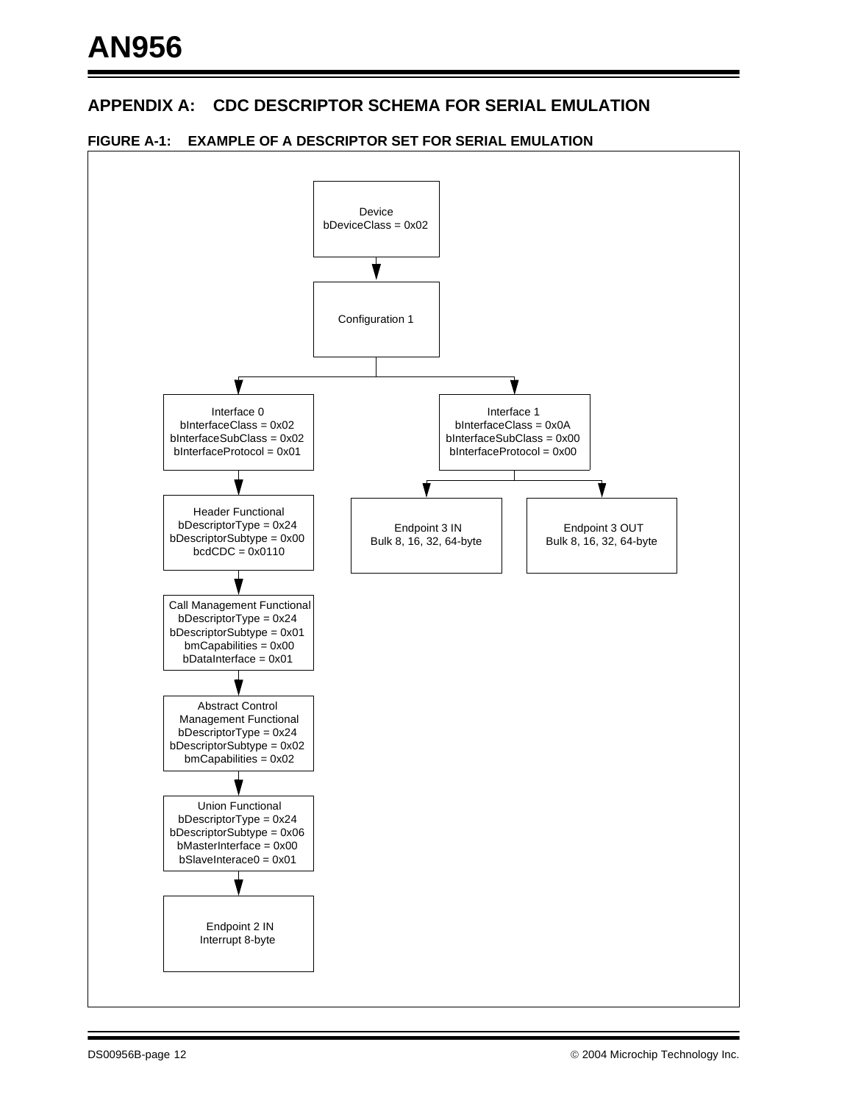#### <span id="page-11-0"></span>**APPENDIX A: CDC DESCRIPTOR SCHEMA FOR SERIAL EMULATION**



#### **FIGURE A-1: EXAMPLE OF A DESCRIPTOR SET FOR SERIAL EMULATION**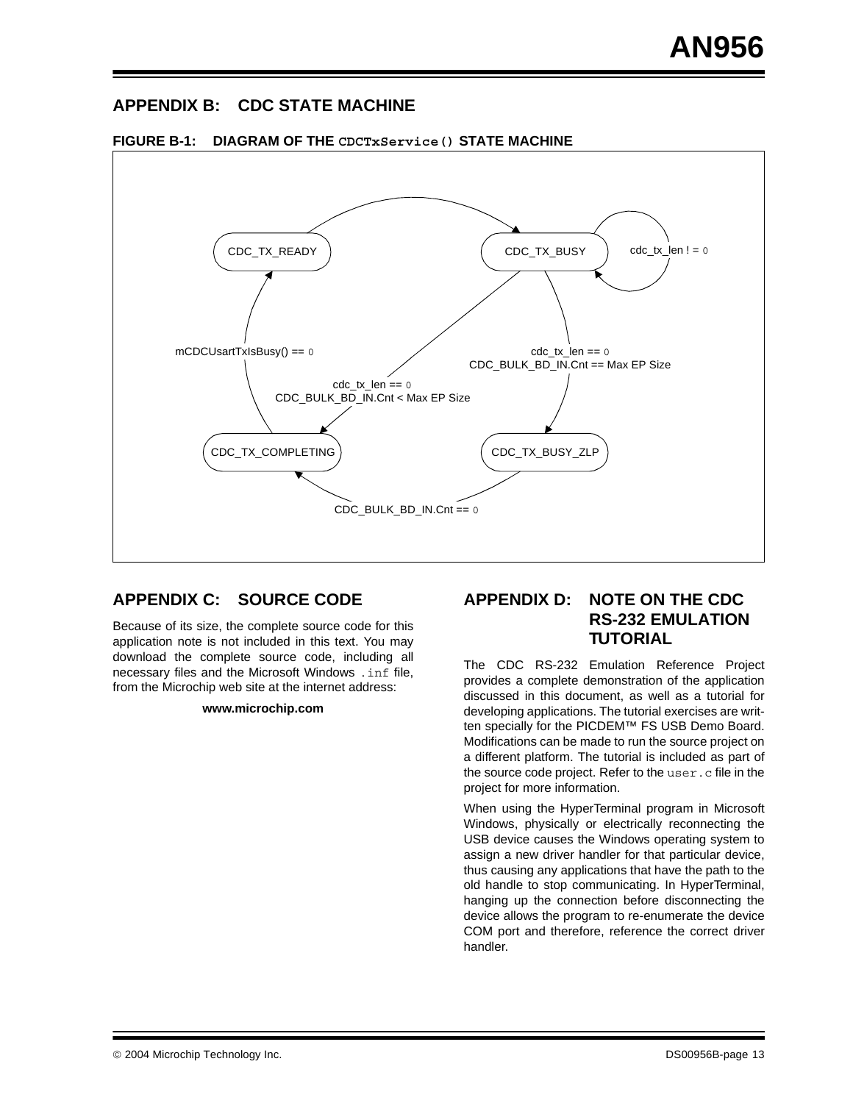#### <span id="page-12-0"></span>**APPENDIX B: CDC STATE MACHINE**



**FIGURE B-1: DIAGRAM OF THE CDCTxService() STATE MACHINE**

#### **APPENDIX C: SOURCE CODE**

Because of its size, the complete source code for this application note is not included in this text. You may download the complete source code, including all necessary files and the Microsoft Windows .inf file, from the Microchip web site at the internet address:

#### **www.microchip.com**

#### **APPENDIX D: NOTE ON THE CDC RS-232 EMULATION TUTORIAL**

The CDC RS-232 Emulation Reference Project provides a complete demonstration of the application discussed in this document, as well as a tutorial for developing applications. The tutorial exercises are written specially for the PICDEM™ FS USB Demo Board. Modifications can be made to run the source project on a different platform. The tutorial is included as part of the source code project. Refer to the user.c file in the project for more information.

When using the HyperTerminal program in Microsoft Windows, physically or electrically reconnecting the USB device causes the Windows operating system to assign a new driver handler for that particular device, thus causing any applications that have the path to the old handle to stop communicating. In HyperTerminal, hanging up the connection before disconnecting the device allows the program to re-enumerate the device COM port and therefore, reference the correct driver handler.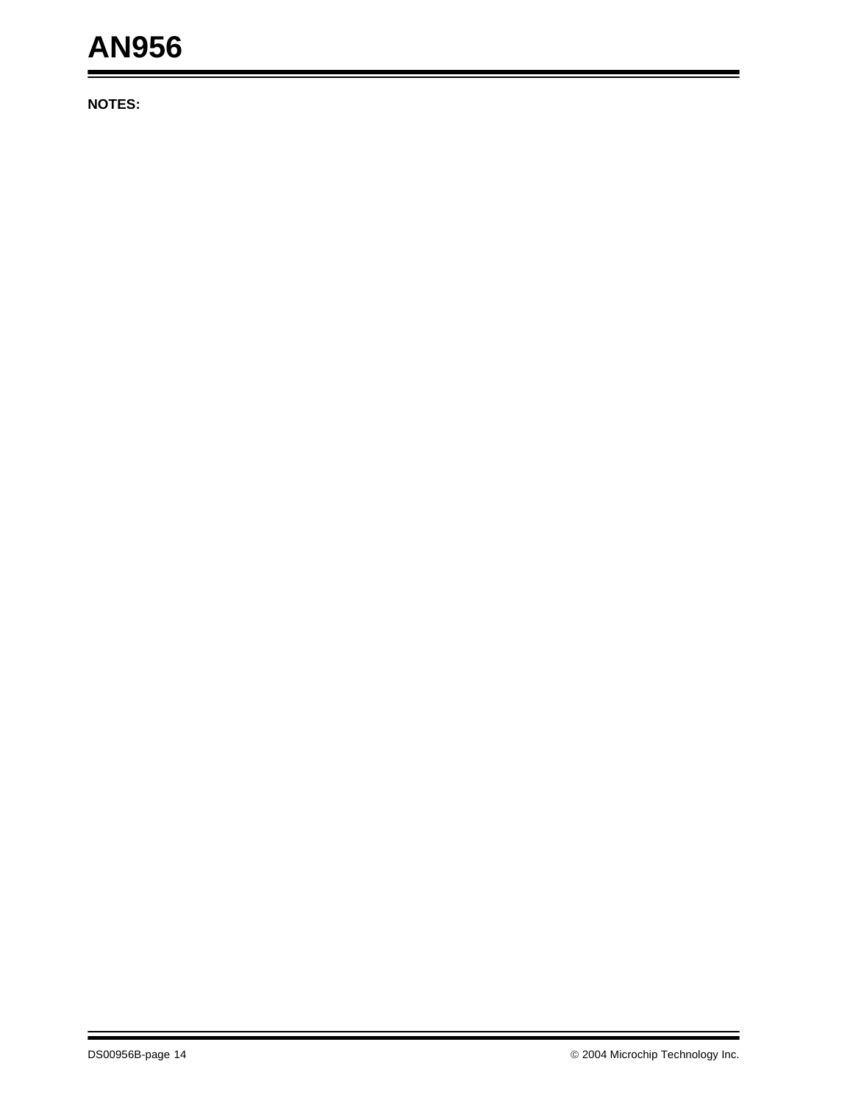# **AN956**

**NOTES:**

ä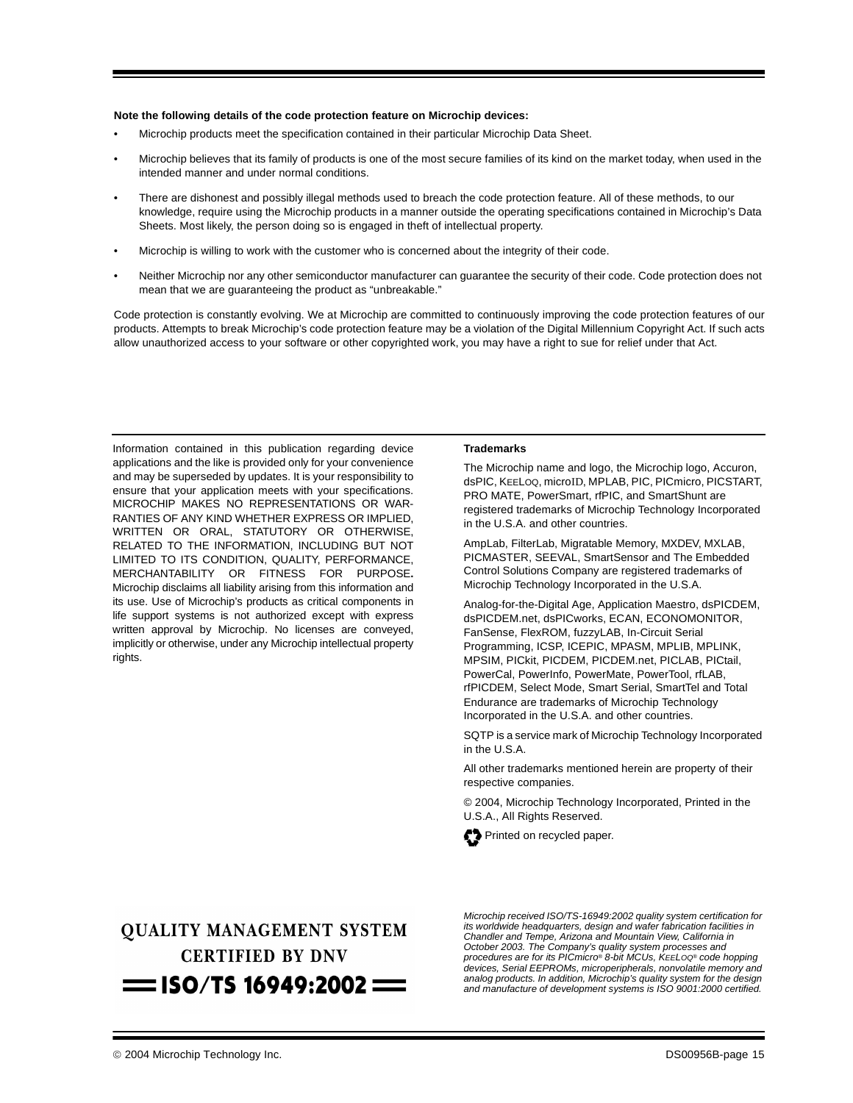#### **Note the following details of the code protection feature on Microchip devices:**

- Microchip products meet the specification contained in their particular Microchip Data Sheet.
- Microchip believes that its family of products is one of the most secure families of its kind on the market today, when used in the intended manner and under normal conditions.
- There are dishonest and possibly illegal methods used to breach the code protection feature. All of these methods, to our knowledge, require using the Microchip products in a manner outside the operating specifications contained in Microchip's Data Sheets. Most likely, the person doing so is engaged in theft of intellectual property.
- Microchip is willing to work with the customer who is concerned about the integrity of their code.
- Neither Microchip nor any other semiconductor manufacturer can guarantee the security of their code. Code protection does not mean that we are guaranteeing the product as "unbreakable."

Code protection is constantly evolving. We at Microchip are committed to continuously improving the code protection features of our products. Attempts to break Microchip's code protection feature may be a violation of the Digital Millennium Copyright Act. If such acts allow unauthorized access to your software or other copyrighted work, you may have a right to sue for relief under that Act.

Information contained in this publication regarding device applications and the like is provided only for your convenience and may be superseded by updates. It is your responsibility to ensure that your application meets with your specifications. MICROCHIP MAKES NO REPRESENTATIONS OR WAR-RANTIES OF ANY KIND WHETHER EXPRESS OR IMPLIED, WRITTEN OR ORAL, STATUTORY OR OTHERWISE, RELATED TO THE INFORMATION, INCLUDING BUT NOT LIMITED TO ITS CONDITION, QUALITY, PERFORMANCE, MERCHANTABILITY OR FITNESS FOR PURPOSE**.** Microchip disclaims all liability arising from this information and its use. Use of Microchip's products as critical components in life support systems is not authorized except with express written approval by Microchip. No licenses are conveyed, implicitly or otherwise, under any Microchip intellectual property rights.

#### **Trademarks**

The Microchip name and logo, the Microchip logo, Accuron, dsPIC, KEELOQ, microID, MPLAB, PIC, PICmicro, PICSTART, PRO MATE, PowerSmart, rfPIC, and SmartShunt are registered trademarks of Microchip Technology Incorporated in the U.S.A. and other countries.

AmpLab, FilterLab, Migratable Memory, MXDEV, MXLAB, PICMASTER, SEEVAL, SmartSensor and The Embedded Control Solutions Company are registered trademarks of Microchip Technology Incorporated in the U.S.A.

Analog-for-the-Digital Age, Application Maestro, dsPICDEM, dsPICDEM.net, dsPICworks, ECAN, ECONOMONITOR, FanSense, FlexROM, fuzzyLAB, In-Circuit Serial Programming, ICSP, ICEPIC, MPASM, MPLIB, MPLINK, MPSIM, PICkit, PICDEM, PICDEM.net, PICLAB, PICtail, PowerCal, PowerInfo, PowerMate, PowerTool, rfLAB, rfPICDEM, Select Mode, Smart Serial, SmartTel and Total Endurance are trademarks of Microchip Technology Incorporated in the U.S.A. and other countries.

SQTP is a service mark of Microchip Technology Incorporated in the U.S.A.

All other trademarks mentioned herein are property of their respective companies.

© 2004, Microchip Technology Incorporated, Printed in the U.S.A., All Rights Reserved.



## **OUALITY MANAGEMENT SYSTEM CERTIFIED BY DNV**  $=$  ISO/TS 16949:2002  $=$

*Microchip received ISO/TS-16949:2002 quality system certification for its worldwide headquarters, design and wafer fabrication facilities in Chandler and Tempe, Arizona and Mountain View, California in October 2003. The Company's quality system processes and procedures are for its PICmicro® 8-bit MCUs, KEELOQ® code hopping devices, Serial EEPROMs, microperipherals, nonvolatile memory and analog products. In addition, Microchip's quality system for the design and manufacture of development systems is ISO 9001:2000 certified.*